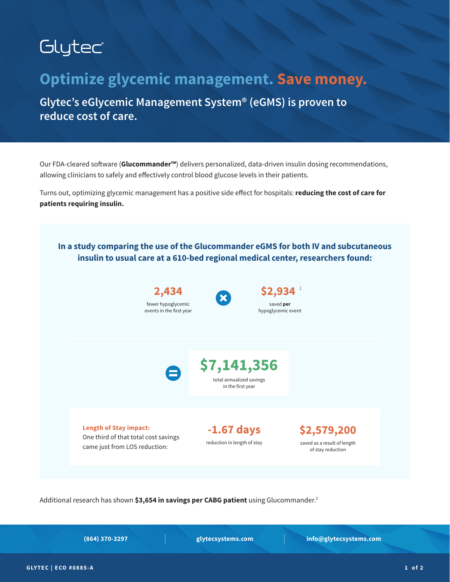# Glytec

## **Optimize glycemic management. Save money.**

**Glytec's eGlycemic Management System® (eGMS) is proven to reduce cost of care.** 

Our FDA-cleared software (**Glucommander™**) delivers personalized, data-driven insulin dosing recommendations, allowing clinicians to safely and effectively control blood glucose levels in their patients.

Turns out, optimizing glycemic management has a positive side effect for hospitals: **reducing the cost of care for patients requiring insulin.**



Additional research has shown **\$3,654 in savings per CABG patient** using Glucommander.2

**(864) 370-3297 glytecsystems.com info@glytecsystems.com**